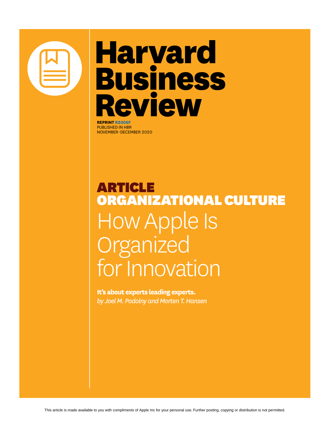

## **Harvard Business Review**

**REPRINT [R2006F](http://hbr.org/search/R2006F)** PUBLISHED IN HBR NOVEMBER–DECEMBER 2020

### **ARTICLE** ORGANIZATIONAL CULTURE How Apple Is Organized for Innovation

**It's about experts leading experts.** *by Joel M. Podolny and Morten T. Hansen*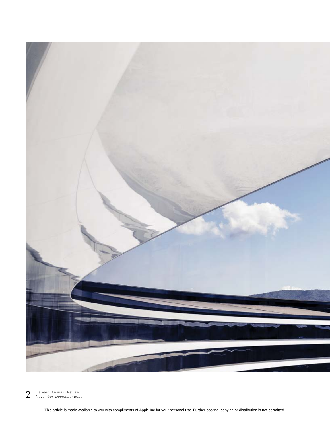

2 Harvard Business Review *November–December 2020*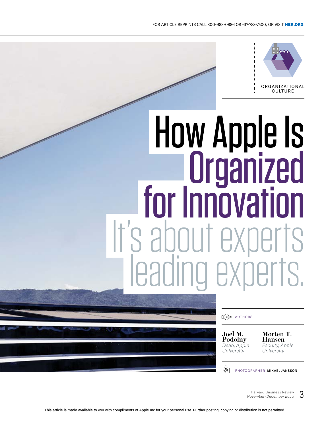

## How Apple Is Organized for Innovation It's about experts<br>Theading experts nerts.

| ⊮ | <b>AUTHORS</b> |
|---|----------------|

| Joel M.<br>Podolny        |
|---------------------------|
| Dean, Apple<br>University |

Morten T. Hansen *Faculty, Apple University*

ര്ട്ടി PHOTOGRAPHER MIKAEL JANSSON

> Harvard Business Review *November–December 2020*  3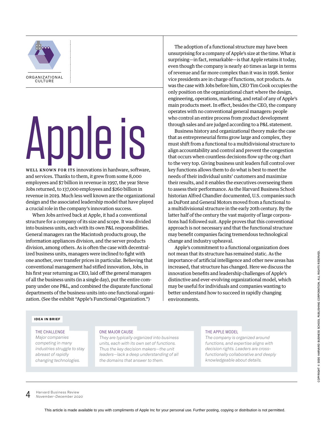

# Apple is

WELL KNOWN FOR ITS innovations in hardware, software, and services. Thanks to them, it grew from some 8,000 employees and \$7 billion in revenue in 1997, the year Steve Jobs returned, to 137,000 employees and \$260 billion in revenue in 2019. Much less well known are the organizational design and the associated leadership model that have played a crucial role in the company's innovation success.

When Jobs arrived back at Apple, it had a conventional structure for a company of its size and scope. It was divided into business units, each with its own P&L responsibilities. General managers ran the Macintosh products group, the information appliances division, and the server products division, among others. As is often the case with decentralized business units, managers were inclined to fight with one another, over transfer prices in particular. Believing that conventional management had stifled innovation, Jobs, in his first year returning as CEO, laid off the general managers of all the business units (in a single day), put the entire company under one P&L, and combined the disparate functional departments of the business units into one functional organization. (See the exhibit "Apple's Functional Organization.")

The adoption of a functional structure may have been unsurprising for a company of Apple's size at the time. What *is* surprising—in fact, remarkable—is that Apple retains it today, even though the company is nearly 40 times as large in terms of revenue and far more complex than it was in 1998. Senior vice presidents are in charge of functions, not products. As was the case with Jobs before him, CEO Tim Cook occupies the only position on the organizational chart where the design, engineering, operations, marketing, and retail of any of Apple's main products meet. In effect, besides the CEO, the company operates with no conventional general managers: people who control an entire process from product development through sales and are judged according to a P&L statement.

Business history and organizational theory make the case that as entrepreneurial firms grow large and complex, they must shift from a functional to a multidivisional structure to align accountability and control and prevent the congestion that occurs when countless decisions flow up the org chart to the very top. Giving business unit leaders full control over key functions allows them to do what is best to meet the needs of their individual units' customers and maximize their results, and it enables the executives overseeing them to assess their performance. As the Harvard Business School historian Alfred Chandler documented, U.S. companies such as DuPont and General Motors moved from a functional to a multidivisional structure in the early 20th century. By the latter half of the century the vast majority of large corporations had followed suit. Apple proves that this conventional approach is not necessary and that the functional structure may benefit companies facing tremendous technological change and industry upheaval.

Apple's commitment to a functional organization does not mean that its structure has remained static. As the importance of artificial intelligence and other new areas has increased, that structure has changed. Here we discuss the innovation benefits and leadership challenges of Apple's distinctive and ever-evolving organizational model, which may be useful for individuals and companies wanting to better understand how to succeed in rapidly changing environments.

#### **IDEA IN BRIEF**

#### THE CHALLENGE

*Major companies competing in many industries struggle to stay abreast of rapidly changing technologies.*

#### ONE MAJOR CAUSE

*They are typically organized into business units, each with its own set of functions. Thus the key decision makers—the unit leaders—lack a deep understanding of all the domains that answer to them.*

#### THE APPLE MODEL

*The company is organized around functions, and expertise aligns with decision rights. Leaders are crossfunctionally collaborative and deeply knowledgeable about details.*

4 Harvard Business Review *November–December 2020*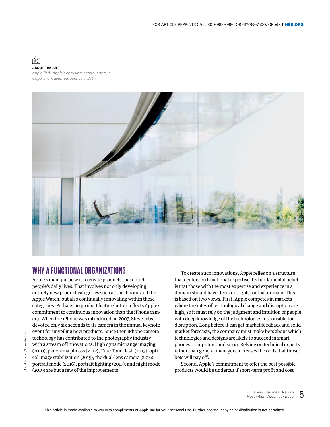#### 「⊚ **ABOUT THE ART** *Apple Park, Apple's corporate headquarters in Cupertino, California, opened in 2017.*



#### **WHY A FUNCTIONAL ORGANIZATION?**

Apple's main purpose is to create products that enrich people's daily lives. That involves not only developing entirely new product categories such as the iPhone and the Apple Watch, but also continually innovating within those categories. Perhaps no product feature better reflects Apple's commitment to continuous innovation than the iPhone camera. When the iPhone was introduced, in 2007, Steve Jobs devoted only six seconds to its camera in the annual keynote event for unveiling new products. Since then iPhone camera technology has contributed to the photography industry with a stream of innovations: High dynamic range imaging (2010), panorama photos (2012), True Tone flash (2013), optical image stabilization (2015), the dual-lens camera (2016), portrait mode (2016), portrait lighting (2017), and night mode (2019) are but a few of the improvements.

To create such innovations, Apple relies on a structure that centers on functional expertise. Its fundamental belief is that those with the most expertise and experience in a domain should have decision rights for that domain. This is based on two views: First, Apple competes in markets where the rates of technological change and disruption are high, so it must rely on the judgment and intuition of people with deep knowledge of the technologies responsible for disruption. Long before it can get market feedback and solid market forecasts, the company must make bets about which technologies and designs are likely to succeed in smartphones, computers, and so on. Relying on technical experts rather than general managers increases the odds that those bets will pay off.

Second, Apple's commitment to offer the best possible products would be undercut if short-term profit and cost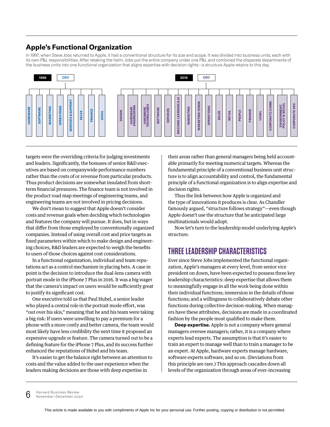#### **Apple's Functional Organization**

In 1997, when Steve Jobs returned to Apple, it had a conventional structure for its size and scope. It was divided into business units, each with its own P&L responsibilities. After retaking the helm, Jobs put the entire company under one P&L and combined the disparate departments of the business units into one functional organization that aligns expertise with decision rights—a structure Apple retains to this day.



targets were the overriding criteria for judging investments and leaders. Significantly, the bonuses of senior R&D executives are based on companywide performance numbers rather than the costs of or revenue from particular products. Thus product decisions are somewhat insulated from shortterm financial pressures. The finance team is not involved in the product road map meetings of engineering teams, and engineering teams are not involved in pricing decisions.

We don't mean to suggest that Apple doesn't consider costs and revenue goals when deciding which technologies and features the company will pursue. It does, but in ways that differ from those employed by conventionally organized companies. Instead of using overall cost and price targets as fixed parameters within which to make design and engineering choices, R&D leaders are expected to weigh the benefits to users of those choices against cost considerations.

In a functional organization, individual and team reputations act as a control mechanism in placing bets. A case in point is the decision to introduce the dual-lens camera with portrait mode in the iPhone 7 Plus in 2016. It was a big wager that the camera's impact on users would be sufficiently great to justify its significant cost.

One executive told us that Paul Hubel, a senior leader who played a central role in the portrait mode effort, was "out over his skis," meaning that he and his team were taking a big risk: If users were unwilling to pay a premium for a phone with a more costly and better camera, the team would most likely have less credibility the next time it proposed an expensive upgrade or feature. The camera turned out to be a defining feature for the iPhone 7 Plus, and its success further enhanced the reputations of Hubel and his team.

It's easier to get the balance right between an attention to costs and the value added to the user experience when the leaders making decisions are those with deep expertise in

their areas rather than general managers being held accountable primarily for meeting numerical targets. Whereas the fundamental principle of a conventional business unit structure is to align accountability and control, the fundamental principle of a functional organization is to align expertise and decision rights.

Thus the link between how Apple is organized and the type of innovations it produces is clear. As Chandler famously argued, "structure follows strategy"—even though Apple doesn't use the structure that he anticipated large multinationals would adopt.

Now let's turn to the leadership model underlying Apple's structure.

#### **THREE LEADERSHIP CHARACTERISTICS**

Ever since Steve Jobs implemented the functional organization, Apple's managers at every level, from senior vice president on down, have been expected to possess three key leadership characteristics: deep expertise that allows them to meaningfully engage in all the work being done within their individual functions; immersion in the details of those functions; and a willingness to collaboratively debate other functions during collective decision-making. When managers have these attributes, decisions are made in a coordinated fashion by the people most qualified to make them.

**Deep expertise.** Apple is not a company where general managers oversee managers; rather, it is a company where experts lead experts. The assumption is that it's easier to train an expert to manage well than to train a manager to be an expert. At Apple, hardware experts manage hardware, software experts software, and so on. (Deviations from this principle are rare.) This approach cascades down all levels of the organization through areas of ever-increasing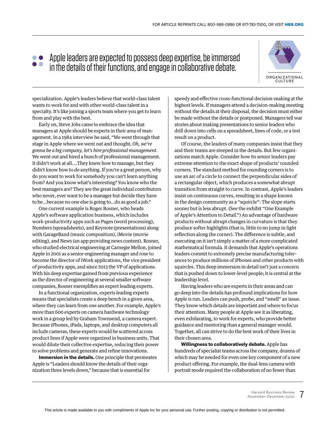#### Apple leaders are expected to possess deep expertise, be immersed in the details of their functions, and engage in collaborative debate.



specialization. Apple's leaders believe that world-class talent wants to work for and with other world-class talent in a specialty. It's like joining a sports team where you get to learn from and play with the best.

Early on, Steve Jobs came to embrace the idea that managers at Apple should be experts in their area of management. In a 1984 interview he said, "We went through that stage in Apple where we went out and thought, *Oh, we're gonna be a big company, let's hire professional management.*  We went out and hired a bunch of professional management. It didn't work at all....They knew how to manage, but they didn't know how to *do* anything. If you're a great person, why do you want to work for somebody you can't learn anything from? And you know what's interesting? You know who the best managers are? They are the great individual contributors who never, ever want to be a manager but decide they have to be…because no one else is going to…do as good a job."

One current example is Roger Rosner, who heads Apple's software application business, which includes work-productivity apps such as Pages (word processing), Numbers (spreadsheets), and Keynote (presentations) along with GarageBand (music composition), iMovie (movie editing), and News (an app providing news content). Rosner, who studied electrical engineering at Carnegie Mellon, joined Apple in 2001 as a senior engineering manager and rose to become the director of iWork applications, the vice president of productivity apps, and since 2013 the VP of applications. With his deep expertise gained from previous experience as the director of engineering at several smaller software companies, Rosner exemplifies an expert leading experts.

In a functional organization, experts leading experts means that specialists create a deep bench in a given area, where they can learn from one another. For example, Apple's more than 600 experts on camera hardware technology work in a group led by Graham Townsend, a camera expert. Because iPhones, iPads, laptops, and desktop computers all include cameras, these experts would be scattered across product lines if Apple were organized in business units. That would dilute their collective expertise, reducing their power to solve problems and generate and refine innovations.

**Immersion in the details.** One principle that permeates Apple is "Leaders should know the details of their organization three levels down," because that is essential for

speedy and effective cross-functional decision-making at the highest levels. If managers attend a decision-making meeting without the details at their disposal, the decision must either be made without the details or postponed. Managers tell war stories about making presentations to senior leaders who drill down into cells on a spreadsheet, lines of code, or a test result on a product.

Of course, the leaders of many companies insist that they and their teams are steeped in the details. But few organizations match Apple. Consider how its senior leaders pay extreme attention to the exact shape of products' rounded corners. The standard method for rounding corners is to use an arc of a circle to connect the perpendicular sides of a rectangular object, which produces a somewhat abrupt transition from straight to curve. In contrast, Apple's leaders insist on continuous curves, resulting in a shape known in the design community as a "squircle": The slope starts sooner but is less abrupt. (See the exhibit "One Example of Apple's Attention to Detail.") An advantage of hardware products without abrupt changes in curvature is that they produce softer highlights (that is, little to no jump in light reflection along the corner). The difference is subtle, and executing on it isn't simply a matter of a more complicated mathematical formula. It demands that Apple's operations leaders commit to extremely precise manufacturing tolerances to produce millions of iPhones and other products with squircles. This deep immersion in detail isn't just a concern that is pushed down to lower-level people; it is central at the leadership level.

Having leaders who are experts in their areas and can go deep into the details has profound implications for how Apple is run. Leaders can push, probe, and "smell" an issue. They know which details are important and where to focus their attention. Many people at Apple see it as liberating, even exhilarating, to work for experts, who provide better guidance and mentoring than a general manager would. Together, all can strive to do the best work of their lives in their chosen area.

**Willingness to collaboratively debate.** Apple has hundreds of specialist teams across the company, dozens of which may be needed for even one key component of a new product offering. For example, the dual-lens camera with portrait mode required the collaboration of no fewer than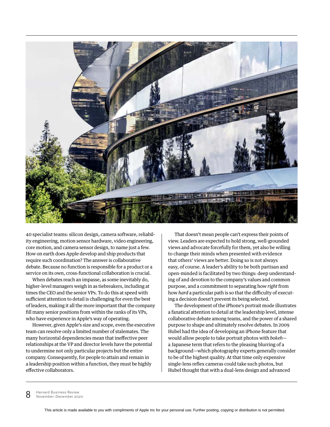

40 specialist teams: silicon design, camera software, reliability engineering, motion sensor hardware, video engineering, core motion, and camera sensor design, to name just a few. How on earth does Apple develop and ship products that require such coordination? The answer is collaborative debate. Because no function is responsible for a product or a service on its own, cross-functional collaboration is crucial.

When debates reach an impasse, as some inevitably do, higher-level managers weigh in as tiebreakers, including at times the CEO and the senior VPs. To do this at speed with sufficient attention to detail is challenging for even the best of leaders, making it all the more important that the company fill many senior positions from within the ranks of its VPs, who have experience in Apple's way of operating.

However, given Apple's size and scope, even the executive team can resolve only a limited number of stalemates. The many horizontal dependencies mean that ineffective peer relationships at the VP and director levels have the potential to undermine not only particular projects but the entire company. Consequently, for people to attain and remain in a leadership position within a function, they must be highly effective collaborators.

That doesn't mean people can't express their points of view. Leaders are expected to hold strong, well-grounded views and advocate forcefully for them, yet also be willing to change their minds when presented with evidence that others' views are better. Doing so is not always easy, of course. A leader's ability to be both partisan and open-minded is facilitated by two things: deep understanding of and devotion to the company's values and common purpose, and a commitment to separating how *right* from how *hard* a particular path is so that the difficulty of executing a decision doesn't prevent its being selected.

The development of the iPhone's portrait mode illustrates a fanatical attention to detail at the leadership level, intense collaborative debate among teams, and the power of a shared purpose to shape and ultimately resolve debates. In 2009 Hubel had the idea of developing an iPhone feature that would allow people to take portrait photos with *bokeh* a Japanese term that refers to the pleasing blurring of a background—which photography experts generally consider to be of the highest quality. At that time only expensive single-lens reflex cameras could take such photos, but Hubel thought that with a dual-lens design and advanced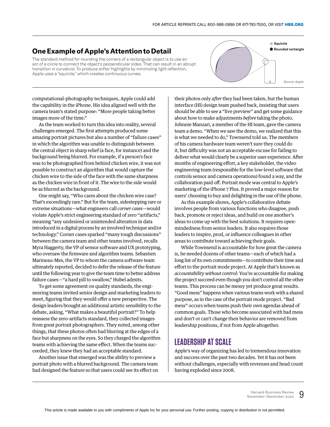#### **One Example of Apple's Attention to Detail**

The standard method for rounding the corners of a rectangular object is to use an arc of a circle to connect the object's perpendicular sides. That can result in an abrupt transition in curvature. To produce softer highlights by minimizing light reflection, Apple uses a "squircle," which creates continuous curves.

Source: Apple ● Rounded rectangle ● Squircle

computational-photography techniques, Apple could add the capability in the iPhone. His idea aligned well with the camera team's stated purpose: "More people taking better images more of the time."

As the team worked to turn this idea into reality, several challenges emerged. The first attempts produced some amazing portrait pictures but also a number of "failure cases" in which the algorithm was unable to distinguish between the central object in sharp relief (a face, for instance) and the background being blurred. For example, if a person's face was to be photographed from behind chicken wire, it was not possible to construct an algorithm that would capture the chicken wire to the side of the face with the same sharpness as the chicken wire in front of it. The wire to the side would be as blurred as the background.

One might say, "Who cares about the chicken wire case? That's exceedingly rare." But for the team, sidestepping rare or extreme situations—what engineers call *corner cases*—would violate Apple's strict engineering standard of zero "artifacts," meaning "any undesired or unintended alteration in data introduced in a digital process by an involved technique and/or technology." Corner cases sparked "many tough discussions" between the camera team and other teams involved, recalls Myra Haggerty, the VP of sensor software and UX prototyping, who oversaw the firmware and algorithm teams. Sebastien Marineau-Mes, the VP to whom the camera software team ultimately reported, decided to defer the release of the feature until the following year to give the team time to better address failure cases—"a hard pill to swallow," Hubel admits.

To get some agreement on quality standards, the engineering teams invited senior design and marketing leaders to meet, figuring that they would offer a new perspective. The design leaders brought an additional artistic sensibility to the debate, asking, "What makes a beautiful portrait?" To help reassess the zero-artifacts standard, they collected images from great portrait photographers. They noted, among other things, that these photos often had blurring at the edges of a face but sharpness on the eyes. So they charged the algorithm teams with achieving the same effect. When the teams succeeded, they knew they had an acceptable standard.

Another issue that emerged was the ability to preview a portrait photo with a blurred background. The camera team had designed the feature so that users could see its effect on their photos only *after* they had been taken, but the human interface (HI) design team pushed back, insisting that users should be able to see a "live preview" and get some guidance about how to make adjustments *before* taking the photo. Johnnie Manzari, a member of the HI team, gave the camera team a demo. "When we saw the demo, we realized that this is what we needed to do," Townsend told us. The members of his camera hardware team weren't sure they could do it, but difficulty was not an acceptable excuse for failing to deliver what would clearly be a superior user experience. After months of engineering effort, a key stakeholder, the video engineering team (responsible for the low-level software that controls sensor and camera operations) found a way, and the collaboration paid off. Portrait mode was central to Apple's marketing of the iPhone 7 Plus. It proved a major reason for users' choosing to buy and delighting in the use of the phone.

As this example shows, Apple's collaborative debate involves people from various functions who disagree, push back, promote or reject ideas, and build on one another's ideas to come up with the best solutions. It requires openmindedness from senior leaders. It also requires those leaders to inspire, prod, or influence colleagues in other areas to contribute toward achieving their goals.

While Townsend is accountable for how great the camera is, he needed dozens of other teams—each of which had a long list of its own commitments—to contribute their time and effort to the portrait mode project. At Apple that's known as *accountability without control:* You're accountable for making the project succeed even though you don't control all the other teams. This process can be messy yet produce great results. "Good mess" happens when various teams work with a shared purpose, as in the case of the portrait mode project. "Bad mess" occurs when teams push their own agendas ahead of common goals. Those who become associated with bad mess and don't or can't change their behavior are removed from leadership positions, if not from Apple altogether.

#### **LEADERSHIP AT SCALE**

Apple's way of organizing has led to tremendous innovation and success over the past two decades. Yet it has not been without challenges, especially with revenues and head count having exploded since 2008.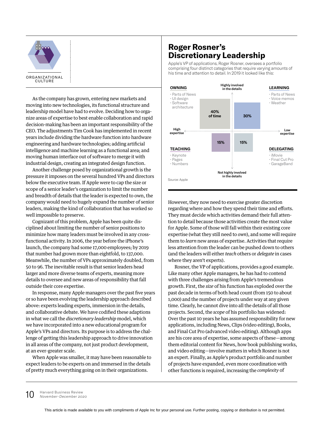

As the company has grown, entering new markets and moving into new technologies, its functional structure and leadership model have had to evolve. Deciding how to organize areas of expertise to best enable collaboration and rapid decision-making has been an important responsibility of the CEO. The adjustments Tim Cook has implemented in recent years include dividing the hardware function into hardware engineering and hardware technologies; adding artificial intelligence and machine learning as a functional area; and moving human interface out of software to merge it with industrial design, creating an integrated design function.

Another challenge posed by organizational growth is the pressure it imposes on the several hundred VPs and directors below the executive team. If Apple were to cap the size or scope of a senior leader's organization to limit the number and breadth of details that the leader is expected to own, the company would need to hugely expand the number of senior leaders, making the kind of collaboration that has worked so well impossible to preserve.

Cognizant of this problem, Apple has been quite disciplined about limiting the number of senior positions to minimize how many leaders must be involved in any crossfunctional activity. In 2006, the year before the iPhone's launch, the company had some 17,000 employees; by 2019 that number had grown more than eightfold, to 137,000. Meanwhile, the number of VPs approximately doubled, from 50 to 96. The inevitable result is that senior leaders head larger and more diverse teams of experts, meaning more details to oversee and new areas of responsibility that fall outside their core expertise.

In response, many Apple managers over the past five years or so have been evolving the leadership approach described above: experts leading experts, immersion in the details, and collaborative debate. We have codified these adaptions in what we call the *discretionary leadership* model, which we have incorporated into a new educational program for Apple's VPs and directors*.* Its purpose is to address the challenge of getting this leadership approach to drive innovation in all areas of the company, not just product development, at an ever-greater scale.

When Apple was smaller, it may have been reasonable to expect leaders to be experts on and immersed in the details of pretty much everything going on in their organizations.

#### **Roger Rosner's Discretionary Leadership**

Apple's VP of applications, Roger Rosner, oversees a portfolio comprising four distinct categories that require varying amounts of his time and attention to detail. In 2019 it looked like this:



However, they now need to exercise greater discretion regarding where and how they spend their time and efforts. They must decide which activities demand their full attention to detail because those activities create the most value for Apple. Some of those will fall within their existing core expertise (what they still need to *own*), and some will require them to *learn* new areas of expertise. Activities that require less attention from the leader can be pushed down to others (and the leaders will either *teach* others or *delegate* in cases where they aren't experts).

Rosner, the VP of applications, provides a good example. Like many other Apple managers, he has had to contend with three challenges arising from Apple's tremendous growth. First, the *size* of his function has exploded over the past decade in terms of both head count (from 150 to about 1,000) and the number of projects under way at any given time. Clearly, he cannot dive into all the details of all those projects. Second, the *scope* of his portfolio has widened: Over the past 10 years he has assumed responsibility for new applications, including News, Clips (video editing), Books, and Final Cut Pro (advanced video editing). Although apps are his core area of expertise, some aspects of these—among them editorial content for News, how book publishing works, and video editing—involve matters in which Rosner is not an expert. Finally, as Apple's product portfolio and number of projects have expanded, even more coordination with other functions is required, increasing the *complexity* of

10 Harvard Business Review *November–December 2020*